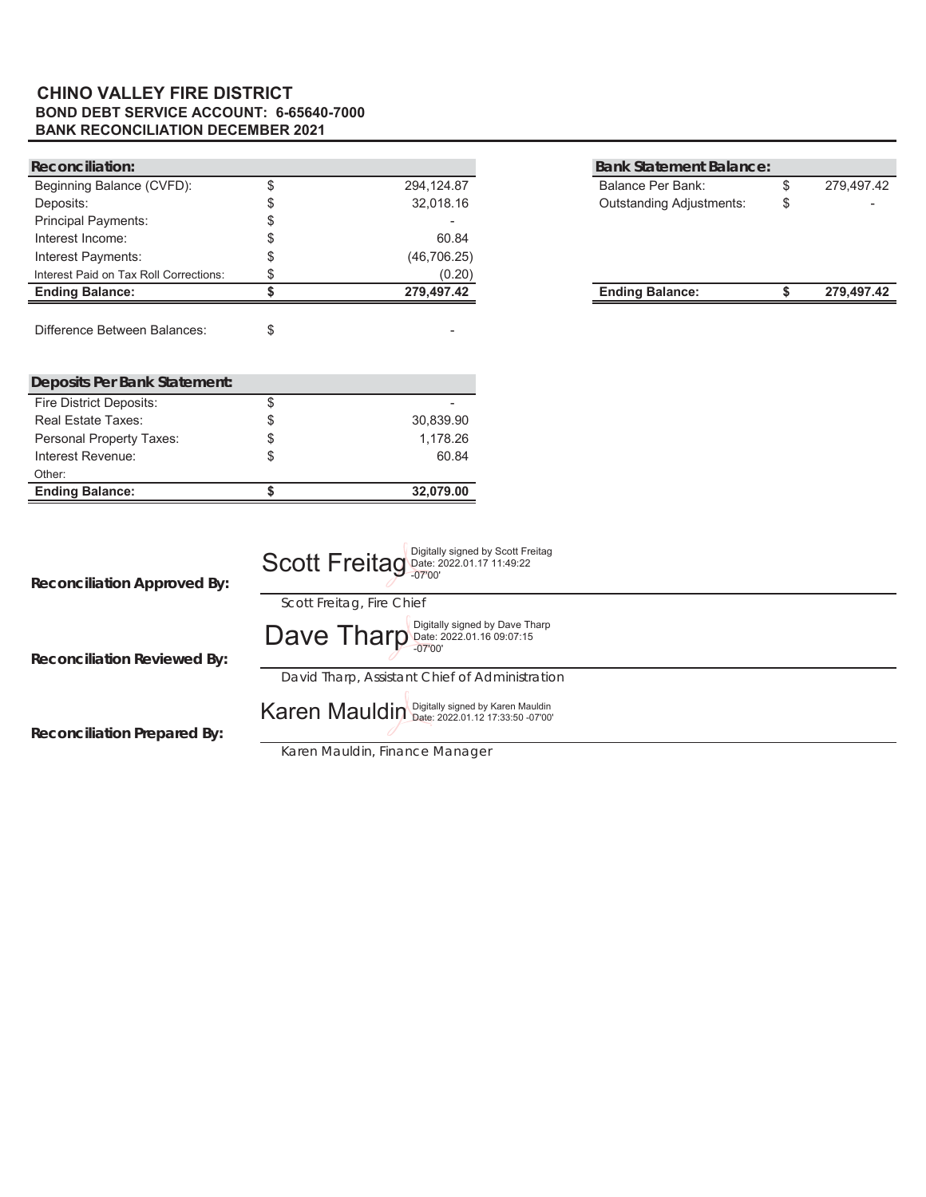### **BOND DEBT SERVICE ACCOUNT: 6-65640-7000 BANK RECONCILIATION DECEMBER 2021 CHINO VALLEY FIRE DISTRICT**

| Reconciliation:                        |                                                 |                                   | <b>Bank Statement Balance:</b>  |                  |
|----------------------------------------|-------------------------------------------------|-----------------------------------|---------------------------------|------------------|
| Beginning Balance (CVFD):              | \$<br>294, 124.87                               |                                   | <b>Balance Per Bank:</b>        | \$<br>279,497.42 |
| Deposits:                              | \$<br>32,018.16                                 |                                   | <b>Outstanding Adjustments:</b> | \$               |
| <b>Principal Payments:</b>             | \$                                              |                                   |                                 |                  |
| Interest Income:                       | \$<br>60.84                                     |                                   |                                 |                  |
| Interest Payments:                     | \$<br>(46, 706.25)                              |                                   |                                 |                  |
| Interest Paid on Tax Roll Corrections: | \$<br>(0.20)                                    |                                   |                                 |                  |
| <b>Ending Balance:</b>                 | \$<br>279,497.42                                |                                   | <b>Ending Balance:</b>          | \$<br>279,497.42 |
| <b>Difference Between Balances:</b>    | \$                                              |                                   |                                 |                  |
| <b>Deposits Per Bank Statement:</b>    |                                                 |                                   |                                 |                  |
| Fire District Deposits:                | \$                                              |                                   |                                 |                  |
| <b>Real Estate Taxes:</b>              | \$<br>30,839.90                                 |                                   |                                 |                  |
| Personal Property Taxes:               | \$<br>1,178.26                                  |                                   |                                 |                  |
| Interest Revenue:                      | \$<br>60.84                                     |                                   |                                 |                  |
| Other:                                 |                                                 |                                   |                                 |                  |
| <b>Ending Balance:</b>                 | \$<br>32,079.00                                 |                                   |                                 |                  |
| <b>Reconciliation Approved By:</b>     | Scott Freitag Date: 2022.01.17 11:49:22         | Digitally signed by Scott Freitag |                                 |                  |
|                                        | Scott Freitag, Fire Chief                       |                                   |                                 |                  |
| <b>Reconciliation Reviewed By:</b>     | Dave Tharp Date: 2022.01.16 09:07:15            | Digitally signed by Dave Tharp    |                                 |                  |
|                                        | David Tharp, Assistant Chief of Administration  |                                   |                                 |                  |
| <b>Reconciliation Prepared By:</b>     | Karen Mauldin Digitally signed by Karen Mauldin |                                   |                                 |                  |
|                                        | Karen Mauldin, Finance Manager                  |                                   |                                 |                  |

 *Karen Mauldin, Finance Manager*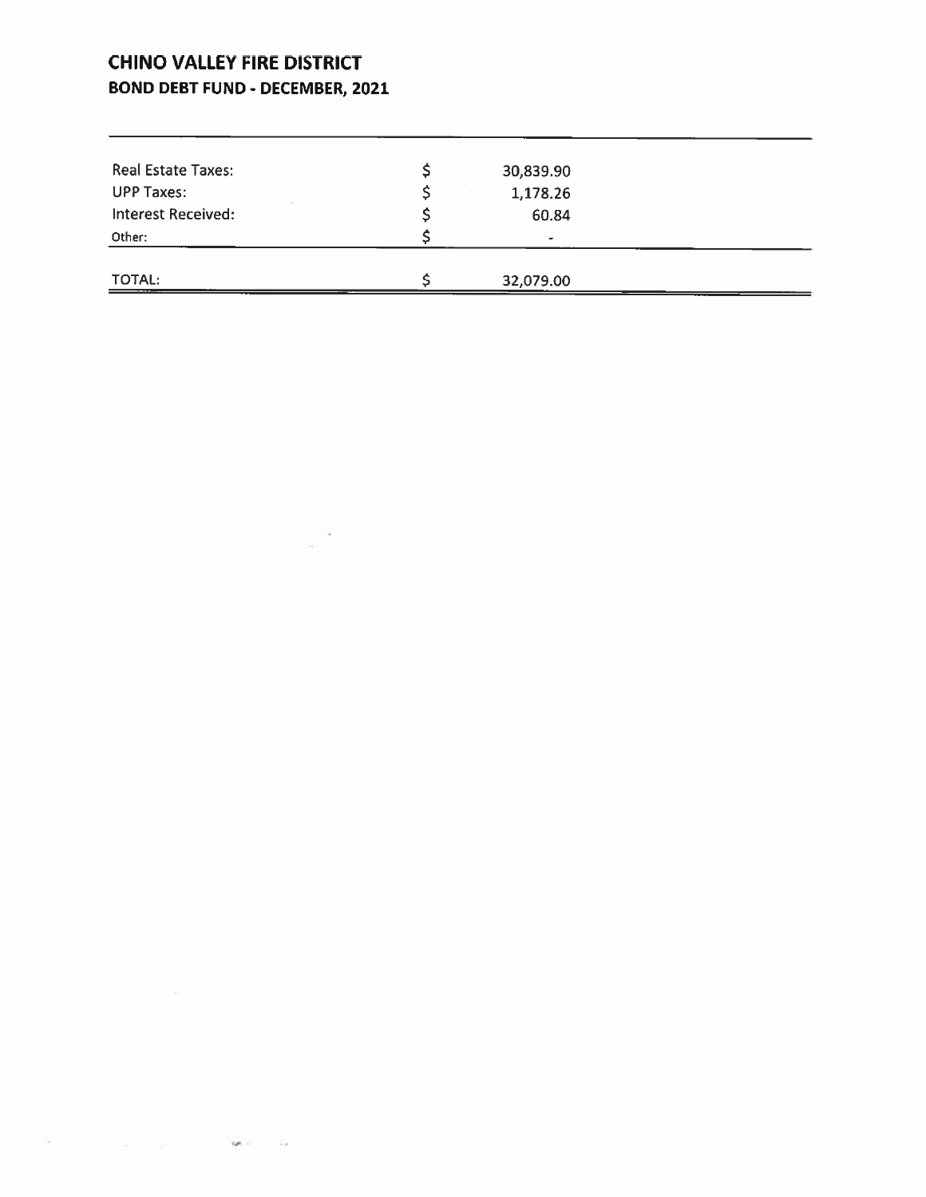# **CHINO VALLEY FIRE DISTRICT BOND DEBT FUND - DECEMBER, 2021**

<u> 1989 - Andrea Andrew Maria (b. 1989)</u>

 $\sim 10^{10}$  .

 $\label{eq:3.1} \begin{array}{cccccccccccccc} \mathcal{P} & & & & & & & \mathcal{P} & & \mathcal{P} & & \mathcal{P} & \mathcal{P} & \mathcal{P} & \mathcal{P} & \mathcal{P} & \mathcal{P} & \mathcal{P} & \mathcal{P} & \mathcal{P} & \mathcal{P} & \mathcal{P} & \mathcal{P} & \mathcal{P} & \mathcal{P} & \mathcal{P} & \mathcal{P} & \mathcal{P} & \mathcal{P} & \mathcal{P} & \mathcal{P} & \mathcal{P} & \mathcal{P} & \mathcal{P} & \mathcal{P} & \mathcal{$ 

| <b>Real Estate Taxes:</b> | 30,839.90 |  |
|---------------------------|-----------|--|
| <b>UPP Taxes:</b>         | 1,178.26  |  |
| <b>Interest Received:</b> | 60.84     |  |
| Other:                    | $\bullet$ |  |
| TOTAL:                    | 32,079.00 |  |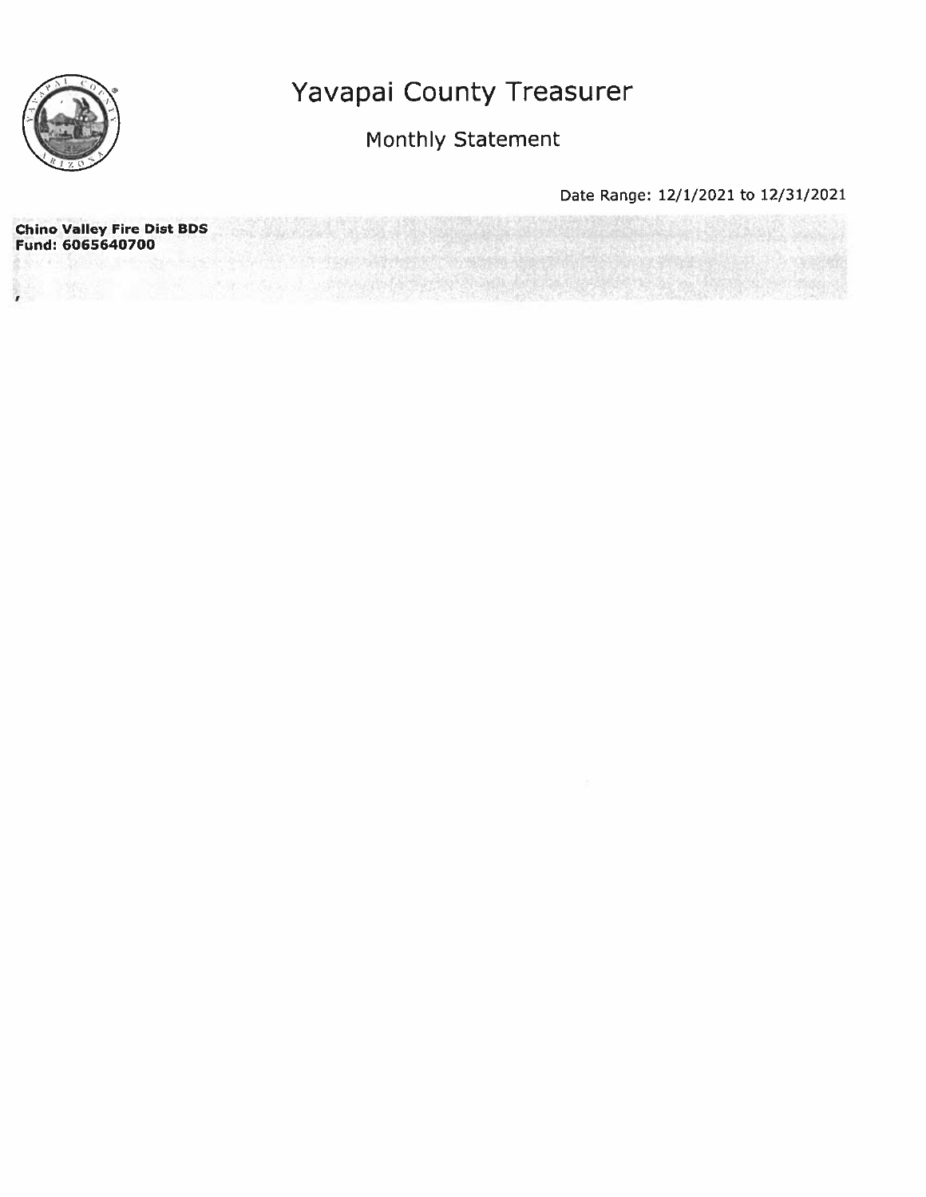

# Monthly Statement

| <b>Chino Valley Fire Dist BDS</b><br>Fund: 6065640700 |  |  |  |
|-------------------------------------------------------|--|--|--|
|                                                       |  |  |  |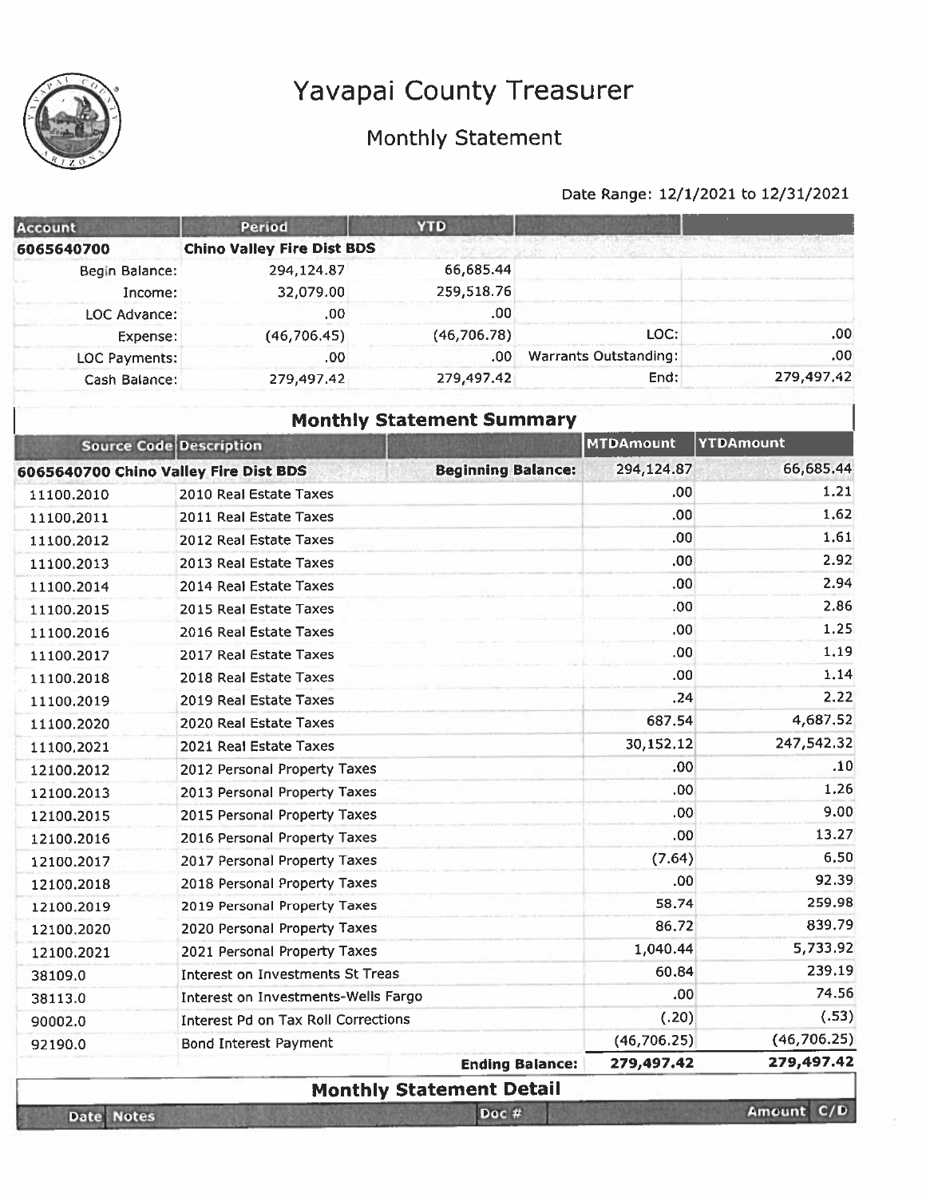



Date Notes

# Monthly Statement

| <b>Account</b>                        | <b>Period</b>                           | <b>YTD</b>                       |                        |                              |                  |
|---------------------------------------|-----------------------------------------|----------------------------------|------------------------|------------------------------|------------------|
| 6065640700                            | <b>Chino Valley Fire Dist BDS</b>       |                                  |                        |                              |                  |
| Begin Balance:                        | 294,124.87                              | 66,685.44                        |                        |                              |                  |
| Income:                               | 32,079.00                               | 259,518.76                       |                        |                              |                  |
| LOC Advance:                          | .00                                     | .00                              |                        |                              |                  |
| Expense:                              | (46,706.45)                             | (46, 706.78)                     |                        | LOC:                         | .00              |
| LOC Payments:                         | .00                                     | .00.                             |                        | <b>Warrants Outstanding:</b> | .00              |
| Cash Balance:                         | 279,497.42                              | 279,497.42                       |                        | End:                         | 279,497.42       |
|                                       |                                         | <b>Monthly Statement Summary</b> |                        |                              |                  |
| <b>Source Code Description</b>        |                                         |                                  |                        | <b>MTDAmount</b>             | <b>YTDAmount</b> |
| 6065640700 Chino Valley Fire Dist BDS |                                         | <b>Beginning Balance:</b>        |                        | 294,124.87                   | 66,685.44        |
| 11100.2010                            | 2010 Real Estate Taxes                  |                                  |                        | .00                          | 1,21             |
| 11100.2011                            | 2011 Real Estate Taxes                  |                                  |                        | .00                          | 1.62             |
| 11100.2012                            | 2012 Real Estate Taxes                  |                                  |                        | .00                          | 1.61             |
| 11100.2013                            | 2013 Real Estate Taxes                  |                                  |                        | .00.                         | 2.92             |
| 11100.2014                            | 2014 Real Estate Taxes                  |                                  |                        | .00.                         | 2.94             |
| 11100.2015                            | 2015 Real Estate Taxes                  |                                  |                        | .00                          | 2.86             |
| 11100.2016                            | 2016 Real Estate Taxes                  |                                  |                        | .00.                         | 1.25             |
| 11100.2017                            | 2017 Real Estate Taxes                  |                                  |                        | .00                          | 1.19             |
| 11100,2018                            | 2018 Real Estate Taxes                  |                                  |                        | .00                          | 1.14             |
| 11100.2019                            | 2019 Real Estate Taxes                  |                                  |                        | .24                          | 2.22             |
| 11100.2020                            | 2020 Real Estate Taxes                  |                                  |                        | 687.54                       | 4,687.52         |
| 11100.2021                            | 2021 Real Estate Taxes                  |                                  |                        | 30,152.12                    | 247,542.32       |
| 12100.2012                            | 2012 Personal Property Taxes            |                                  |                        | .00.                         | .10              |
| 12100.2013                            | 2013 Personal Property Taxes            |                                  |                        | .00                          | 1.26             |
| 12100.2015                            | 2015 Personal Property Taxes            |                                  |                        | .00                          | 9.00             |
| 12100.2016                            | 2016 Personal Property Taxes            |                                  |                        | .00                          | 13.27            |
| 12100.2017                            | 2017 Personal Property Taxes            |                                  |                        | (7.64)                       | 6.50             |
| 12100.2018                            | 2018 Personal Property Taxes            |                                  |                        | .00                          | 92.39            |
| 12100.2019                            | 2019 Personal Property Taxes            |                                  |                        | 58.74                        | 259.98           |
| 12100.2020                            | 2020 Personal Property Taxes            |                                  |                        | 86.72                        | 839.79           |
| 12100.2021                            | 2021 Personal Property Taxes            |                                  |                        | 1,040.44                     | 5,733.92         |
| 38109.0                               | <b>Interest on Investments St Treas</b> |                                  |                        | 60.84                        | 239.19           |
| 38113.0                               | Interest on Investments-Wells Fargo     |                                  |                        | .00 <sub>1</sub>             | 74.56            |
| 90002.0                               | Interest Pd on Tax Roll Corrections     |                                  |                        | (.20)                        | (.53)            |
| 92190.0                               | <b>Bond Interest Payment</b>            |                                  |                        | (46,706.25)                  | (46, 706.25)     |
|                                       |                                         |                                  | <b>Ending Balance:</b> | 279,497.42                   | 279,497.42       |
|                                       |                                         | <b>Monthly Statement Detail</b>  |                        |                              |                  |
| Date Notes                            |                                         | Doc #                            |                        |                              | Amount C/D       |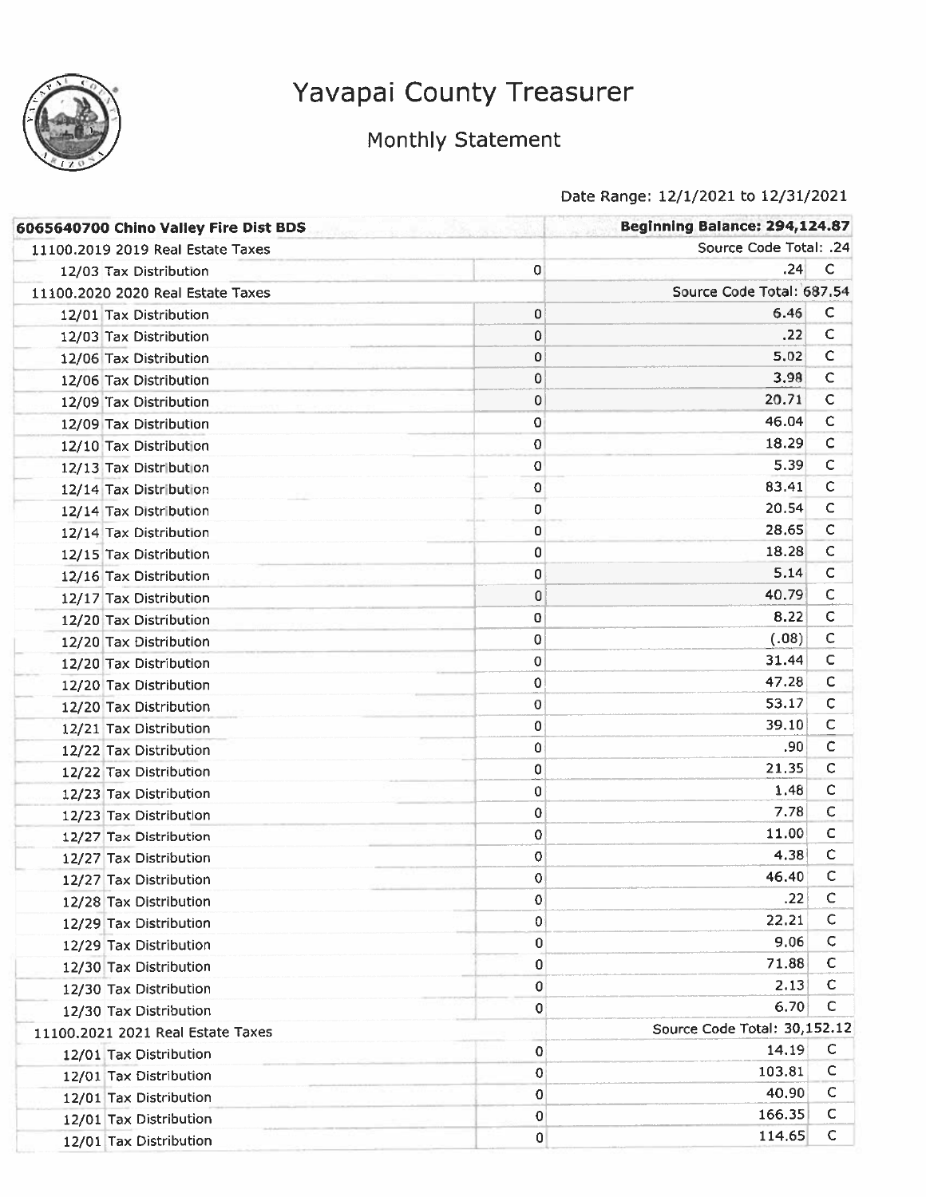

# Monthly Statement

| 6065640700 Chino Valley Fire Dist BDS |             | Beginning Balance: 294,124.87 |              |
|---------------------------------------|-------------|-------------------------------|--------------|
| 11100.2019 2019 Real Estate Taxes     |             | Source Code Total: .24        |              |
| 12/03 Tax Distribution                | $\bf{0}$    | .24                           | с            |
| 11100.2020 2020 Real Estate Taxes     |             | Source Code Total: 687.54     |              |
| 12/01 Tax Distribution                | 0           | 6.46                          | C            |
| 12/03 Tax Distribution                | 0           | .22                           | с            |
| 12/06 Tax Distribution                | 0           | 5.02                          | C            |
| 12/06 Tax Distribution                | 0           | 3.98                          | $\mathsf C$  |
| 12/09 Tax Distribution                | 0           | 20.71                         | $\mathsf{C}$ |
| 12/09 Tax Distribution                | 0           | 46.04                         | $\mathsf C$  |
| 12/10 Tax Distribution                | 0           | 18.29                         | C            |
| 12/13 Tax Distribution                | $\mathbf 0$ | 5.39                          | $\mathsf{C}$ |
| 12/14 Tax Distribution                | 0           | 83.41                         | C            |
| 12/14 Tax Distribution                | 0           | 20.54                         | $\mathsf C$  |
| 12/14 Tax Distribution                | 0           | 28,65                         | $\mathsf C$  |
| 12/15 Tax Distribution                | 0           | 18.28                         | $\mathsf{C}$ |
| 12/16 Tax Distribution                | 0           | 5.14                          | c            |
| 12/17 Tax Distribution                | 0           | 40.79                         | $\mathsf{C}$ |
| 12/20 Tax Distribution                | 0           | 8.22                          | $\mathsf{C}$ |
| 12/20 Tax Distribution                | 0           | (.08)                         | $\mathsf{C}$ |
| 12/20 Tax Distribution                | 0           | 31.44                         | $\mathsf{C}$ |
| 12/20 Tax Distribution                | 0           | 47.28                         | $\mathsf{C}$ |
| 12/20 Tax Distribution                | 0           | 53.17                         | $\mathsf{C}$ |
| 12/21 Tax Distribution                | 0           | 39.10                         | $\mathsf C$  |
| 12/22 Tax Distribution                | 0           | .90                           | $\mathsf C$  |
| 12/22 Tax Distribution                | 0           | 21,35                         | $\mathsf{C}$ |
| 12/23 Tax Distribution                | 0           | 1.48                          | C            |
| 12/23 Tax Distribution                | 0           | 7.78                          | $\mathsf{C}$ |
| 12/27 Tax Distribution                | 0           | 11.00                         | $\mathsf{C}$ |
| 12/27 Tax Distribution                | 0           | 4.38                          | C            |
| 12/27 Tax Distribution                | 0           | 46.40                         | c            |
| 12/28 Tax Distribution                | 0           | .22                           | C            |
| 12/29 Tax Distribution                | 0           | 22.21                         | $\mathsf{C}$ |
| 12/29 Tax Distribution                | 0           | 9.06                          | С            |
| 12/30 Tax Distribution                | 0           | 71.88                         | C            |
| 12/30 Tax Distribution                | 0           | 2.13                          | C            |
| 12/30 Tax Distribution                | 0           | 6.70                          | C            |
| 11100.2021 2021 Real Estate Taxes     |             | Source Code Total: 30,152.12  |              |
| 12/01 Tax Distribution                | 0           | 14.19                         | C            |
| 12/01 Tax Distribution                | 0           | 103.81                        | c            |
| 12/01 Tax Distribution                | 0           | 40.90                         | $\mathsf{C}$ |
| 12/01 Tax Distribution                | 0           | 166.35                        | C            |
| 12/01 Tax Distribution                | 0           | 114,65                        | C            |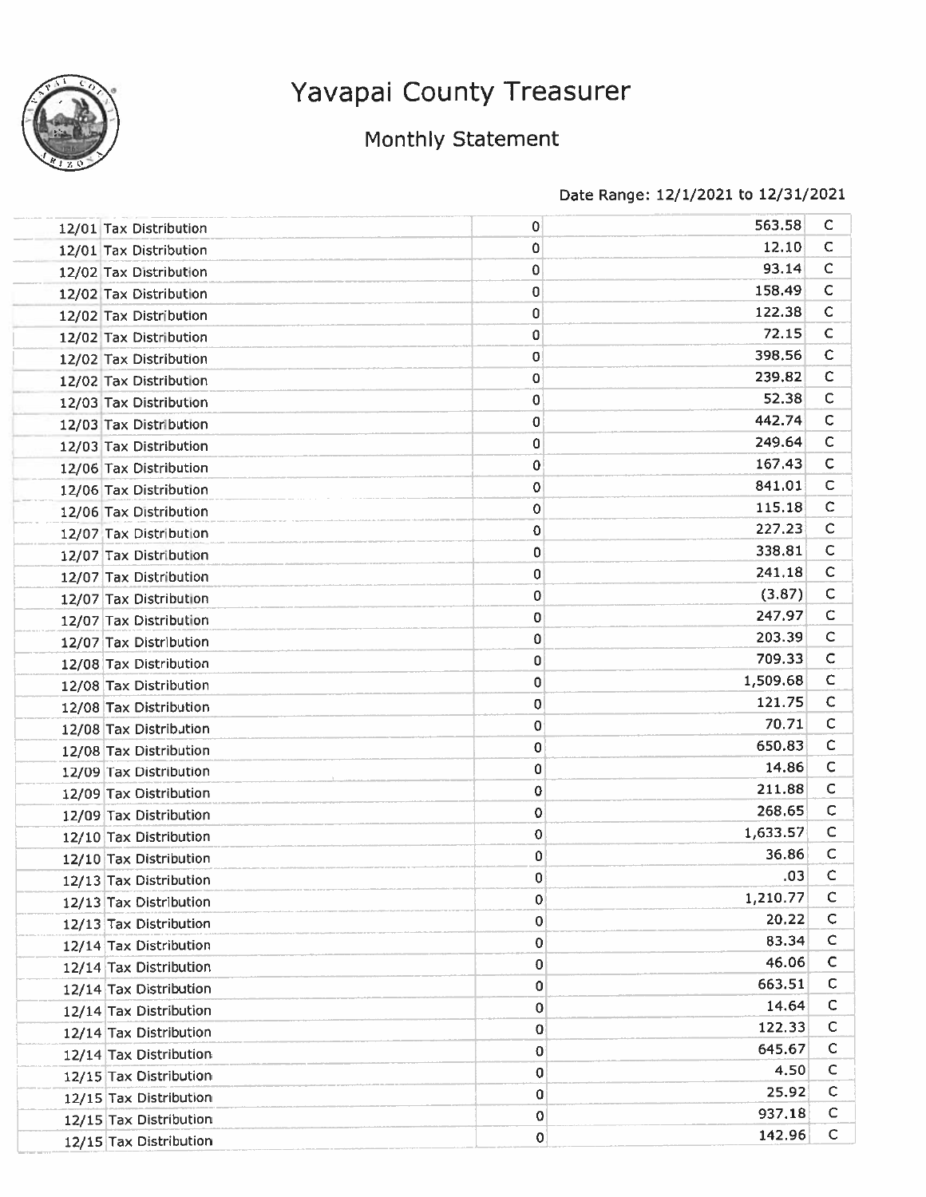

# Monthly Statement

| 12/01 Tax Distribution | $\mathbf 0$ | 563.58   | C            |
|------------------------|-------------|----------|--------------|
| 12/01 Tax Distribution | 0           | 12.10    | C            |
| 12/02 Tax Distribution | 0           | 93.14    | C            |
| 12/02 Tax Distribution | 0           | 158.49   | $\mathsf{C}$ |
| 12/02 Tax Distribution | 0           | 122.38   | C            |
| 12/02 Tax Distribution | 0           | 72.15    | C            |
| 12/02 Tax Distribution | 0           | 398.56   | $\mathbf C$  |
| 12/02 Tax Distribution | 0           | 239.82   | $\mathsf{C}$ |
| 12/03 Tax Distribution | 0           | 52.38    | $\mathsf{C}$ |
| 12/03 Tax Distribution | 0           | 442.74   | $\mathsf{C}$ |
| 12/03 Tax Distribution | 0           | 249.64   | C            |
| 12/06 Tax Distribution | 0           | 167.43   | $\mathsf{C}$ |
| 12/06 Tax Distribution | 0           | 841.01   | C            |
| 12/06 Tax Distribution | $\mathbf 0$ | 115.18   | C            |
| 12/07 Tax Distribution | 0           | 227.23   | $\mathsf{C}$ |
| 12/07 Tax Distribution | 0           | 338.81   | c            |
| 12/07 Tax Distribution | 0           | 241.18   | $\mathsf{C}$ |
| 12/07 Tax Distribution | 0           | (3.87)   | $\mathsf{C}$ |
| 12/07 Tax Distribution | O           | 247.97   | $\mathsf{C}$ |
| 12/07 Tax Distribution | $\mathbf 0$ | 203.39   | $\mathsf{C}$ |
| 12/08 Tax Distribution | 0           | 709.33   | C            |
| 12/08 Tax Distribution | 0           | 1,509.68 | $\mathsf{C}$ |
| 12/08 Tax Distribution | 0           | 121.75   | $\mathsf{C}$ |
| 12/08 Tax Distribution | 0           | 70.71    | $\mathsf{C}$ |
| 12/08 Tax Distribution | $\mathbf 0$ | 650.83   | $\mathsf{C}$ |
| 12/09 Tax Distribution | 0           | 14.86    | $\mathsf{C}$ |
| 12/09 Tax Distribution | 0           | 211.88   | $\mathsf{C}$ |
| 12/09 Tax Distribution | 0           | 268.65   | $\mathsf{C}$ |
| 12/10 Tax Distribution | 0           | 1,633.57 | c            |
| 12/10 Tax Distribution | 0           | 36.86    | C            |
| 12/13 Tax Distribution | 0           | .03      | C            |
| 12/13 Tax Distribution | 0           | 1,210.77 | C            |
| 12/13 Tax Distribution | 0           | 20.22    | C            |
| 12/14 Tax Distribution | 0           | 83.34    | $\mathsf{C}$ |
| 12/14 Tax Distribution | 0           | 46.06    | $\mathsf{C}$ |
| 12/14 Tax Distribution | 0           | 663.51   | $\mathsf{C}$ |
| 12/14 Tax Distribution | 0           | 14.64    | c            |
| 12/14 Tax Distribution | 0           | 122.33   | C            |
| 12/14 Tax Distribution | O           | 645.67   | C            |
| 12/15 Tax Distribution | $\pmb{0}$   | 4.50     | $\mathsf{C}$ |
| 12/15 Tax Distribution | 0           | 25.92    | $\mathsf{C}$ |
| 12/15 Tax Distribution | $\mathbf 0$ | 937.18   | с            |
| 12/15 Tax Distribution | $\pmb{0}$   | 142.96   | $\mathsf C$  |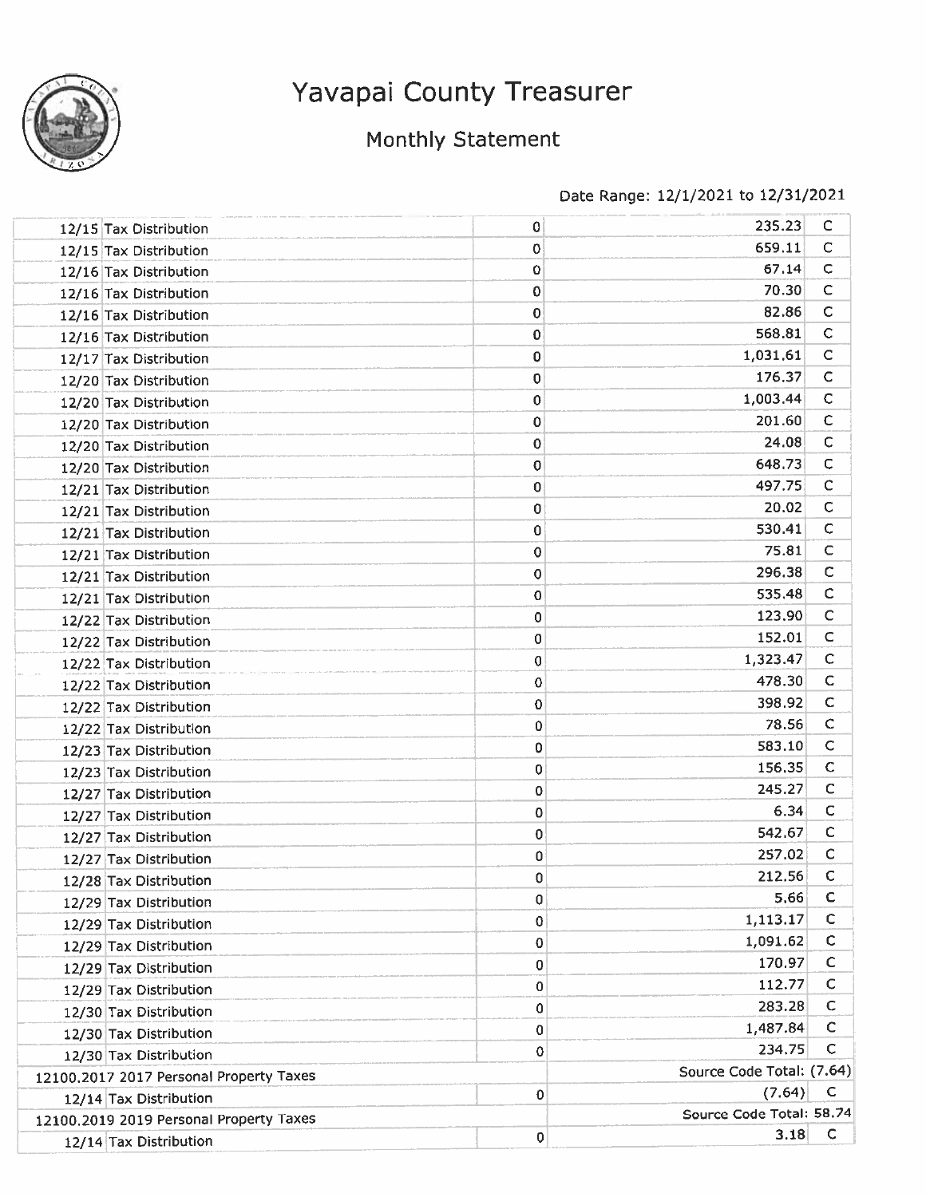

# Monthly Statement

| 12/15 Tax Distribution                  | 0           | 235.23                    | C            |
|-----------------------------------------|-------------|---------------------------|--------------|
| 12/15 Tax Distribution                  | 0           | 659.11                    | $\mathsf{C}$ |
| 12/16 Tax Distribution                  | 0           | 67.14                     | $\mathsf{C}$ |
| 12/16 Tax Distribution                  | 0           | 70.30                     | $\mathsf{C}$ |
| 12/16 Tax Distribution                  | 0           | 82.86                     | $\mathsf{C}$ |
| 12/16 Tax Distribution                  | 0           | 568.81                    | $\mathsf{C}$ |
| 12/17 Tax Distribution                  | 0           | 1,031.61                  | $\mathsf{C}$ |
| 12/20 Tax Distribution                  | 0           | 176.37                    | $\mathsf{C}$ |
| 12/20 Tax Distribution                  | 0           | 1,003.44                  | $\mathsf{C}$ |
| 12/20 Tax Distribution                  | 0           | 201.60                    | C            |
| 12/20 Tax Distribution                  | 0           | 24.08                     | С            |
| 12/20 Tax Distribution                  | $\mathbf 0$ | 648.73                    | C            |
| 12/21 Tax Distribution                  | 0           | 497.75                    | с            |
| 12/21 Tax Distribution                  | 0           | 20.02                     | С            |
| 12/21 Tax Distribution                  | 0           | 530.41                    | С            |
| 12/21 Tax Distribution                  | 0           | 75.81                     | C            |
| 12/21 Tax Distribution                  | 0           | 296.38                    | $\mathsf C$  |
| 12/21 Tax Distribution                  | 0           | 535.48                    | С            |
| 12/22 Tax Distribution                  | 0           | 123.90                    | C            |
| 12/22 Tax Distribution                  | 0           | 152.01                    | C            |
| 12/22 Tax Distribution                  | 0           | 1,323.47                  | C            |
| 12/22 Tax Distribution                  | 0           | 478.30                    | $\mathsf C$  |
| 12/22 Tax Distribution                  | 0           | 398.92                    | $\mathsf C$  |
| 12/22 Tax Distribution                  | 0           | 78.56                     | $\mathsf{C}$ |
| 12/23 Tax Distribution                  | 0           | 583.10                    | С            |
| 12/23 Tax Distribution                  | 0           | 156,35                    | C            |
| 12/27 Tax Distribution                  | 0           | 245.27                    | $\mathsf{C}$ |
| 12/27 Tax Distribution                  | 0           | 6.34                      | $\mathsf{C}$ |
| 12/27 Tax Distribution                  | 0           | 542.67                    | $\mathsf{C}$ |
| 12/27 Tax Distribution                  | 0           | 257.02                    | с            |
| 12/28 Tax Distribution                  | 0           | 212.56                    | С            |
| 12/29 Tax Distribution                  | 0           | 5.66                      | C            |
| 12/29 Tax Distribution                  | 0           | 1,113.17                  | С            |
| 12/29 Tax Distribution                  | 0           | 1,091.62                  | C            |
| 12/29 Tax Distribution                  | 0           | 170.97                    | $\mathsf{C}$ |
| 12/29 Tax Distribution                  | 0           | 112.77                    | $\mathsf C$  |
| 12/30 Tax Distribution                  | 0           | 283.28                    | $\mathsf C$  |
| 12/30 Tax Distribution                  | 0           | 1,487.84                  | C            |
| 12/30 Tax Distribution                  | 0           | 234.75                    | С            |
| 12100.2017 2017 Personal Property Taxes |             | Source Code Total: (7.64) |              |
| 12/14 Tax Distribution                  | $\pmb{0}$   | (7.64)                    | C            |
| 12100.2019 2019 Personal Property Taxes |             | Source Code Total: 58.74  |              |
| 12/14 Tax Distribution                  | 0           | 3.18                      | C            |
|                                         |             |                           |              |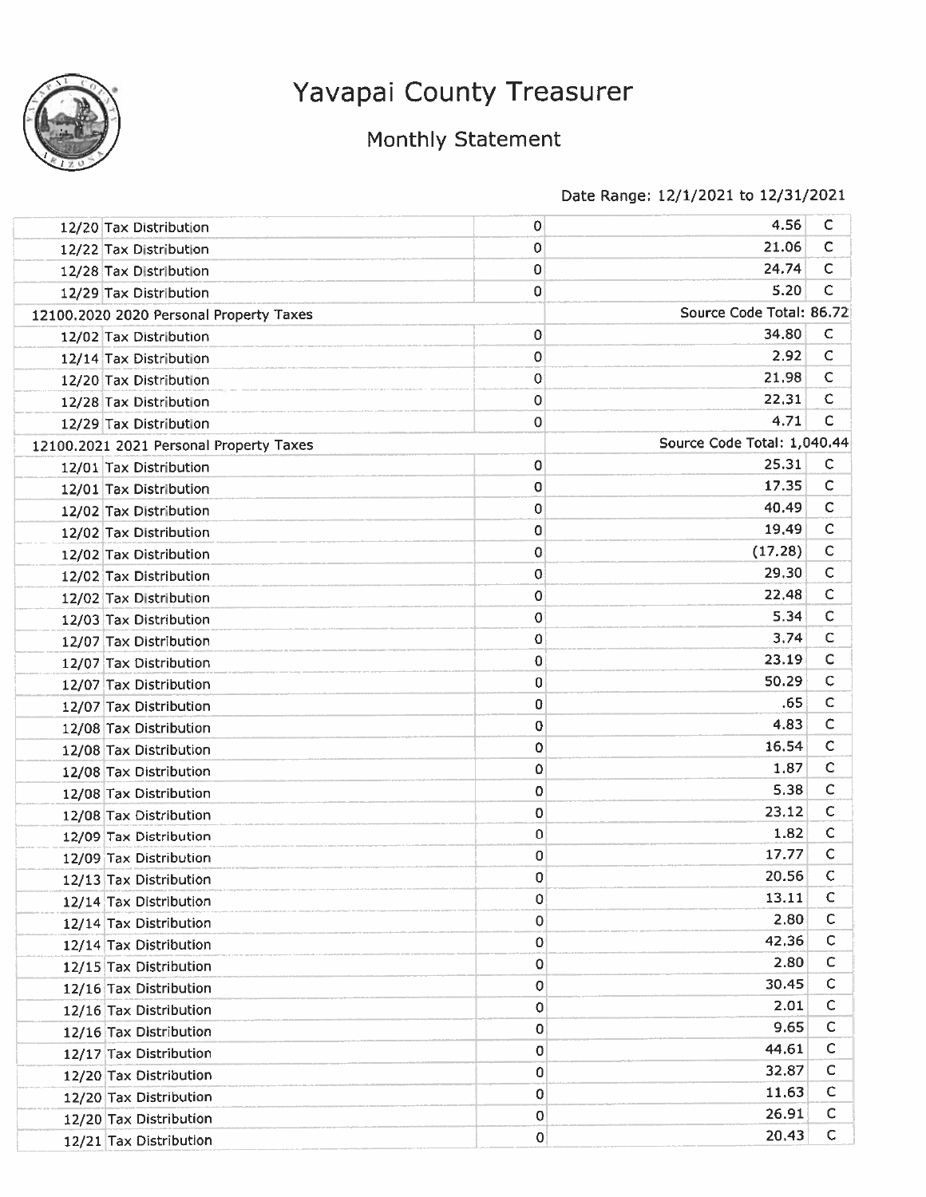

# Monthly Statement

| 12/20 Tax Distribution                  | 0        | 4.56                        | C            |
|-----------------------------------------|----------|-----------------------------|--------------|
| 12/22 Tax Distribution                  | 0        | 21.06                       | $\mathsf{C}$ |
| 12/28 Tax Distribution                  | $\bf{0}$ | 24.74                       | $\mathsf{C}$ |
| 12/29 Tax Distribution                  | 0        | 5.20                        | C            |
| 12100.2020 2020 Personal Property Taxes |          | Source Code Total: 86.72    |              |
| 12/02 Tax Distribution                  | 0        | 34.80                       | C            |
| 12/14 Tax Distribution                  | 0        | 2.92                        | $\mathsf C$  |
| 12/20 Tax Distribution                  | 0        | 21.98                       | C            |
| 12/28 Tax Distribution                  | 0        | 22.31                       | $\mathsf{C}$ |
| 12/29 Tax Distribution                  | 0        | 4.71                        | C            |
| 12100.2021 2021 Personal Property Taxes |          | Source Code Total: 1,040.44 |              |
| 12/01 Tax Distribution                  | 0        | 25.31                       | C            |
| 12/01 Tax Distribution                  | 0        | 17.35                       | с            |
| 12/02 Tax Distribution                  | 0        | 40.49                       | C            |
| 12/02 Tax Distribution                  | 0        | 19,49                       | C            |
| 12/02 Tax Distribution                  | 0        | (17.28)                     | $\mathsf{C}$ |
| 12/02 Tax Distribution                  | 0        | 29.30                       | $\mathsf{C}$ |
| 12/02 Tax Distribution                  | 0        | 22,48                       | $\mathsf{C}$ |
| 12/03 Tax Distribution                  | 0        | 5.34                        | $\mathsf{C}$ |
| 12/07 Tax Distribution                  | 0        | 3.74                        | С            |
| 12/07 Tax Distribution                  | 0        | 23.19                       | C            |
| 12/07 Tax Distribution                  | 0        | 50.29                       | C            |
| 12/07 Tax Distribution                  | 0        | .65                         | C            |
| 12/08 Tax Distribution                  | 0        | 4.83                        | C            |
| 12/08 Tax Distribution                  | 0        | 16.54                       | $\mathsf{C}$ |
| 12/08 Tax Distribution                  | 0        | 1.87                        | c            |
| 12/08 Tax Distribution                  | 0        | 5.38                        | $\mathsf{C}$ |
| 12/08 Tax Distribution                  | 0        | 23.12                       | C            |
| 12/09 Tax Distribution                  | 0        | 1.82                        | C            |
| 12/09 Tax Distribution                  | 0        | 17.77                       | C            |
| 12/13 Tax Distribution                  | 0        | 20.56                       | $\mathsf{C}$ |
| 12/14 Tax Distribution                  | 0        | 13.11                       | $\mathsf{C}$ |
| 12/14 Tax Distribution                  | 0        | 2.80                        | C            |
| 12/14 Tax Distribution                  | 0        | 42.36                       | с            |
| 12/15 Tax Distribution                  | 0        | 2.80                        | $\mathsf C$  |
| 12/16 Tax Distribution                  | 0        | 30.45                       | С            |
| 12/16 Tax Distribution                  | 0        | 2.01                        | $\mathsf{C}$ |
| 12/16 Tax Distribution                  | $\bf{0}$ | 9.65                        | С            |
| 12/17 Tax Distribution                  | $\bf{0}$ | 44.61                       | c            |
| 12/20 Tax Distribution                  | 0        | 32.87                       | C            |
| 12/20 Tax Distribution                  | 0        | 11.63                       | $\mathsf{C}$ |
| 12/20 Tax Distribution                  | 0        | 26.91                       | C            |
| 12/21 Tax Distribution                  | 0        | 20,43                       | $\mathsf{C}$ |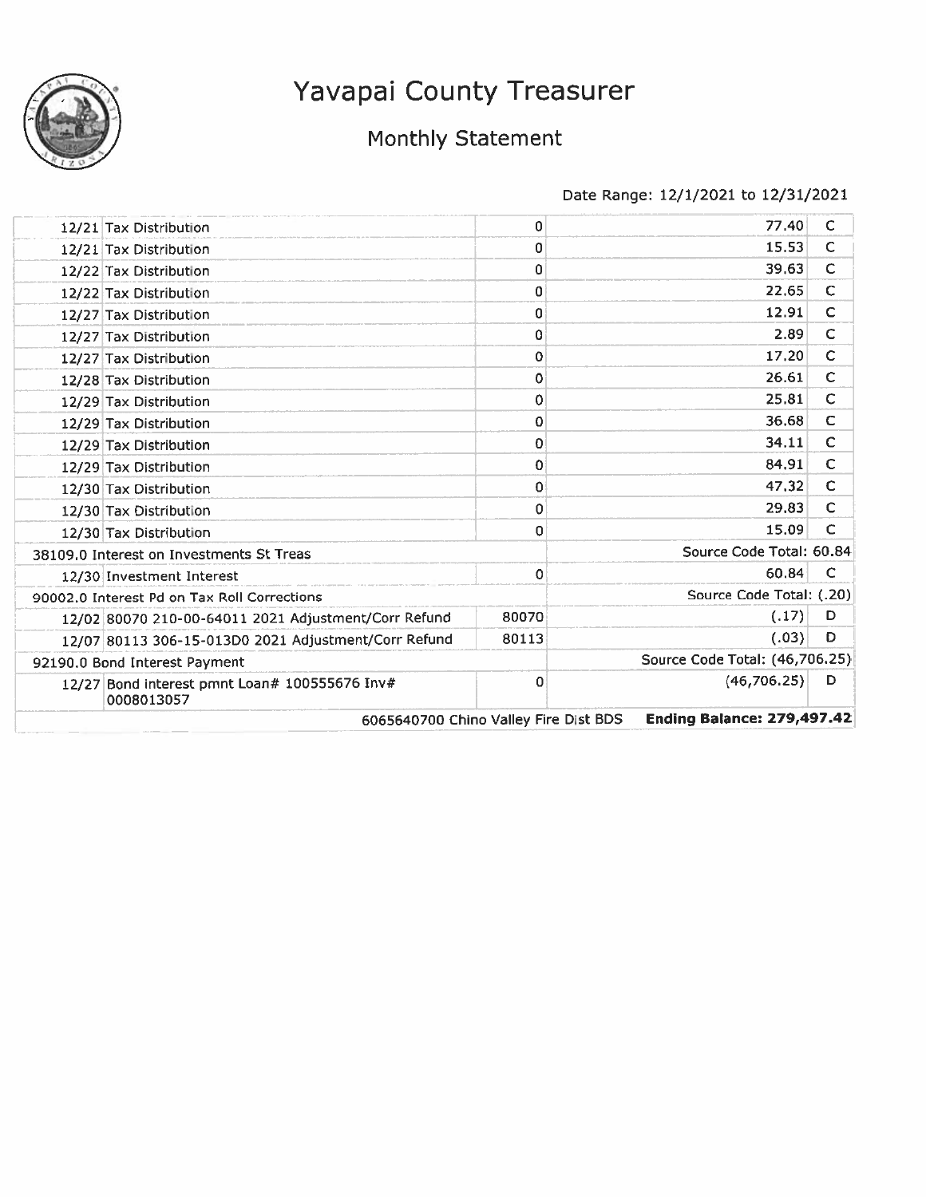

# Monthly Statement

| 12/21 Tax Distribution                                      | 0           | 77.40                             | C            |
|-------------------------------------------------------------|-------------|-----------------------------------|--------------|
| 12/21 Tax Distribution                                      | 0           | 15.53                             | $\mathsf{C}$ |
| 12/22 Tax Distribution                                      | 0           | 39.63                             | $\mathsf{C}$ |
| 12/22 Tax Distribution                                      | 0           | 22.65                             | C            |
| 12/27 Tax Distribution                                      | 0           | 12.91                             | $\mathsf{C}$ |
| 12/27 Tax Distribution                                      | 0           | 2.89                              | $\mathsf{C}$ |
| 12/27 Tax Distribution                                      | 0           | 17.20                             | $\mathsf{C}$ |
| 12/28 Tax Distribution                                      | 0           | 26.61                             | C            |
| 12/29 Tax Distribution                                      | 0           | 25.81                             | C            |
| 12/29 Tax Distribution                                      | 0           | 36.68                             | C            |
| 12/29 Tax Distribution                                      | 0           | 34.11                             | $\mathsf{C}$ |
| 12/29 Tax Distribution                                      | 0           | 84,91                             | $\mathsf{C}$ |
| 12/30 Tax Distribution                                      | 0           | 47.32                             | $\mathsf{C}$ |
| 12/30 Tax Distribution                                      | 0           | 29.83                             | C            |
| 12/30 Tax Distribution                                      | 0           | 15.09                             | C            |
| 38109.0 Interest on Investments St Treas                    |             | Source Code Total: 60.84          |              |
| 12/30 Investment Interest                                   | 0           | 60.84                             | C            |
| 90002.0 Interest Pd on Tax Roll Corrections                 |             | Source Code Total: (.20)          |              |
| 12/02 80070 210-00-64011 2021 Adjustment/Corr Refund        | 80070       | (.17)                             | D            |
| 12/07 80113 306-15-013D0 2021 Adjustment/Corr Refund        | 80113       | (.03)                             | D            |
| 92190.0 Bond Interest Payment                               |             | Source Code Total: (46,706.25)    |              |
| 12/27 Bond interest pmnt Loan# 100555676 Inv#<br>0008013057 | $\mathbf 0$ | (46, 706.25)                      | D            |
| 6065640700 Chino Valley Fire Dist BDS                       |             | <b>Ending Balance: 279,497.42</b> |              |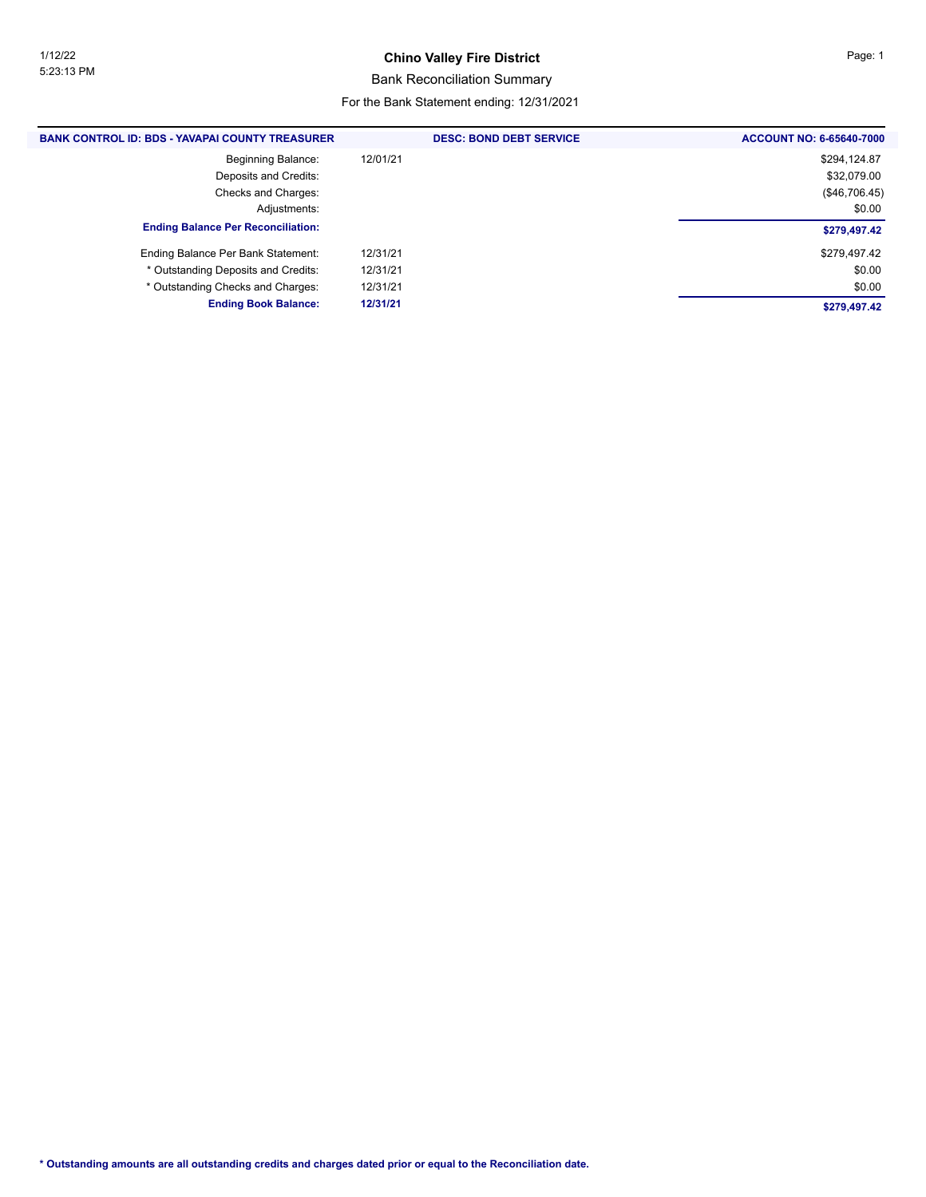#### **Chino Valley Fire District Page: 1**

#### Bank Reconciliation Summary

#### For the Bank Statement ending: 12/31/2021

| <b>BANK CONTROL ID: BDS - YAVAPAI COUNTY TREASURER</b> | <b>DESC: BOND DEBT SERVICE</b> | <b>ACCOUNT NO: 6-65640-7000</b> |
|--------------------------------------------------------|--------------------------------|---------------------------------|
| <b>Beginning Balance:</b>                              | 12/01/21                       | \$294,124.87                    |
| Deposits and Credits:                                  |                                | \$32,079.00                     |
| Checks and Charges:                                    |                                | (\$46,706.45)                   |
| Adjustments:                                           |                                | \$0.00                          |
| <b>Ending Balance Per Reconciliation:</b>              |                                | \$279,497.42                    |
| Ending Balance Per Bank Statement:                     | 12/31/21                       | \$279,497.42                    |
| * Outstanding Deposits and Credits:                    | 12/31/21                       | \$0.00                          |
| * Outstanding Checks and Charges:                      | 12/31/21                       | \$0.00                          |
| <b>Ending Book Balance:</b>                            | 12/31/21                       | \$279,497.42                    |
|                                                        |                                |                                 |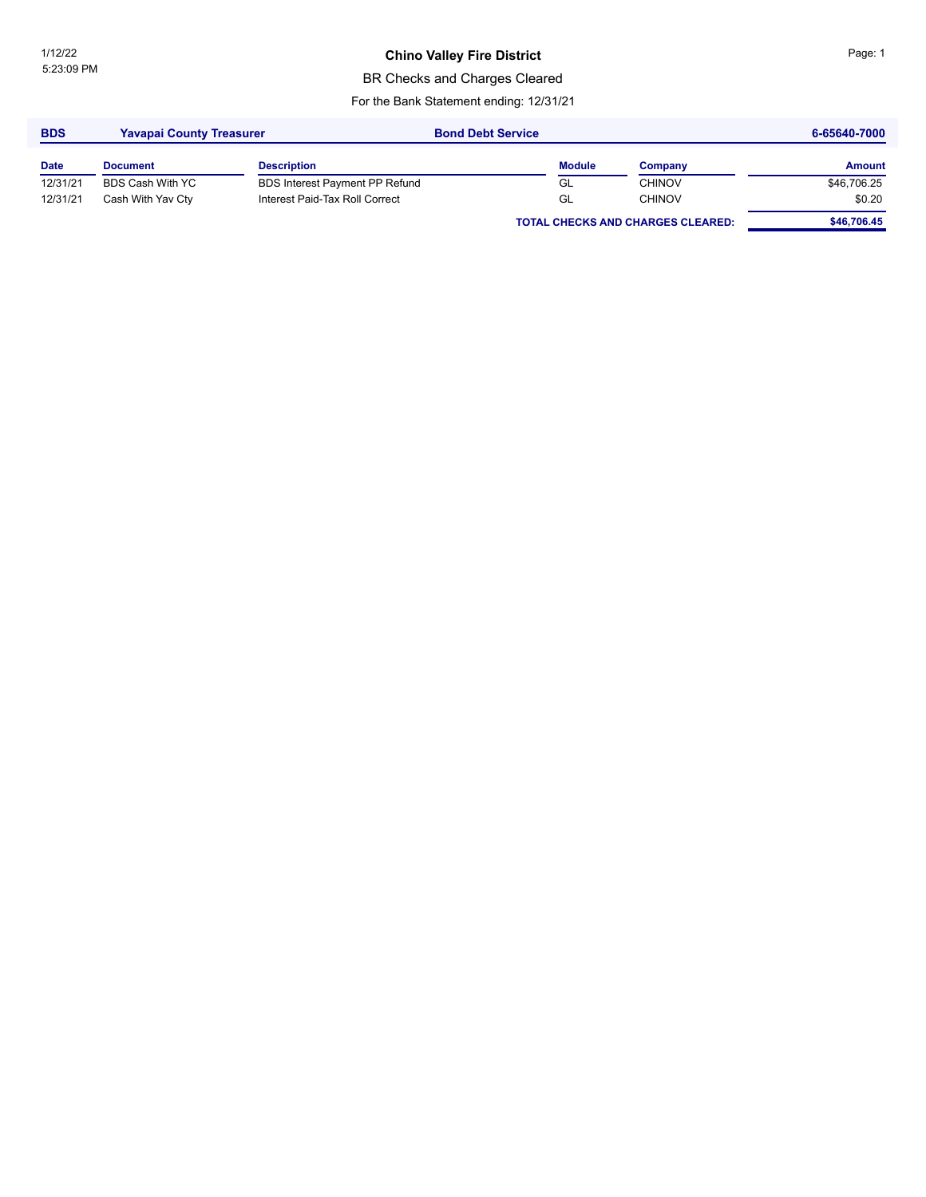### **Chino Valley Fire District Chinage: 1** Page: 1

BR Checks and Charges Cleared

For the Bank Statement ending: 12/31/21

| <b>BDS</b>  | <b>Yavapai County Treasurer</b> |                                       | <b>Bond Debt Service</b> |               |                                          | 6-65640-7000 |  |
|-------------|---------------------------------|---------------------------------------|--------------------------|---------------|------------------------------------------|--------------|--|
| <b>Date</b> | <b>Document</b>                 | <b>Description</b>                    |                          | <b>Module</b> | Company                                  | Amount       |  |
| 12/31/21    | BDS Cash With YC                | <b>BDS Interest Payment PP Refund</b> |                          | GL            | <b>CHINOV</b>                            | \$46,706.25  |  |
| 12/31/21    | Cash With Yav Cty               | Interest Paid-Tax Roll Correct        |                          | GL            | <b>CHINOV</b>                            | \$0.20       |  |
|             |                                 |                                       |                          |               | <b>TOTAL CHECKS AND CHARGES CLEARED:</b> | \$46,706.45  |  |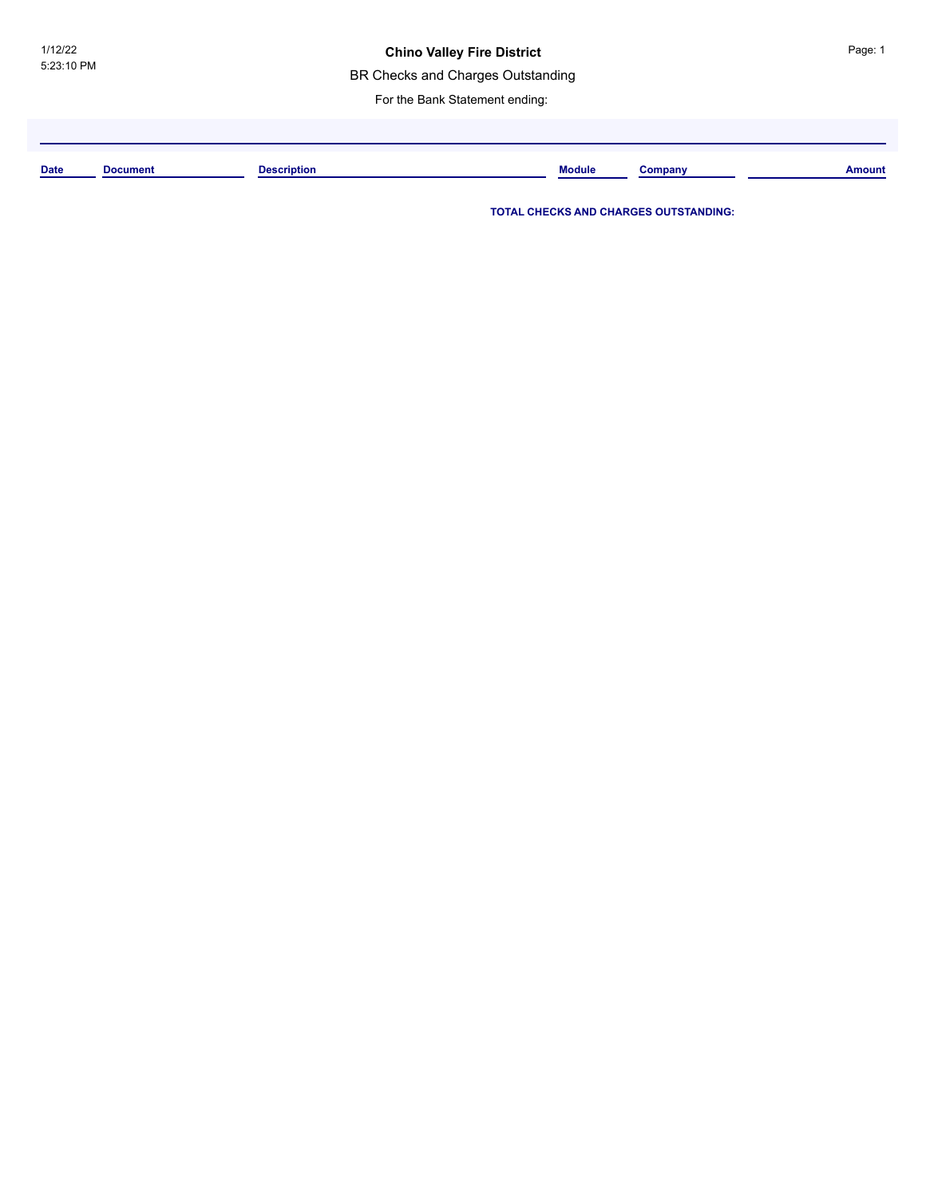BR Checks and Charges Outstanding

For the Bank Statement ending:

**Date Document Description Module Company Amount**

**TOTAL CHECKS AND CHARGES OUTSTANDING:**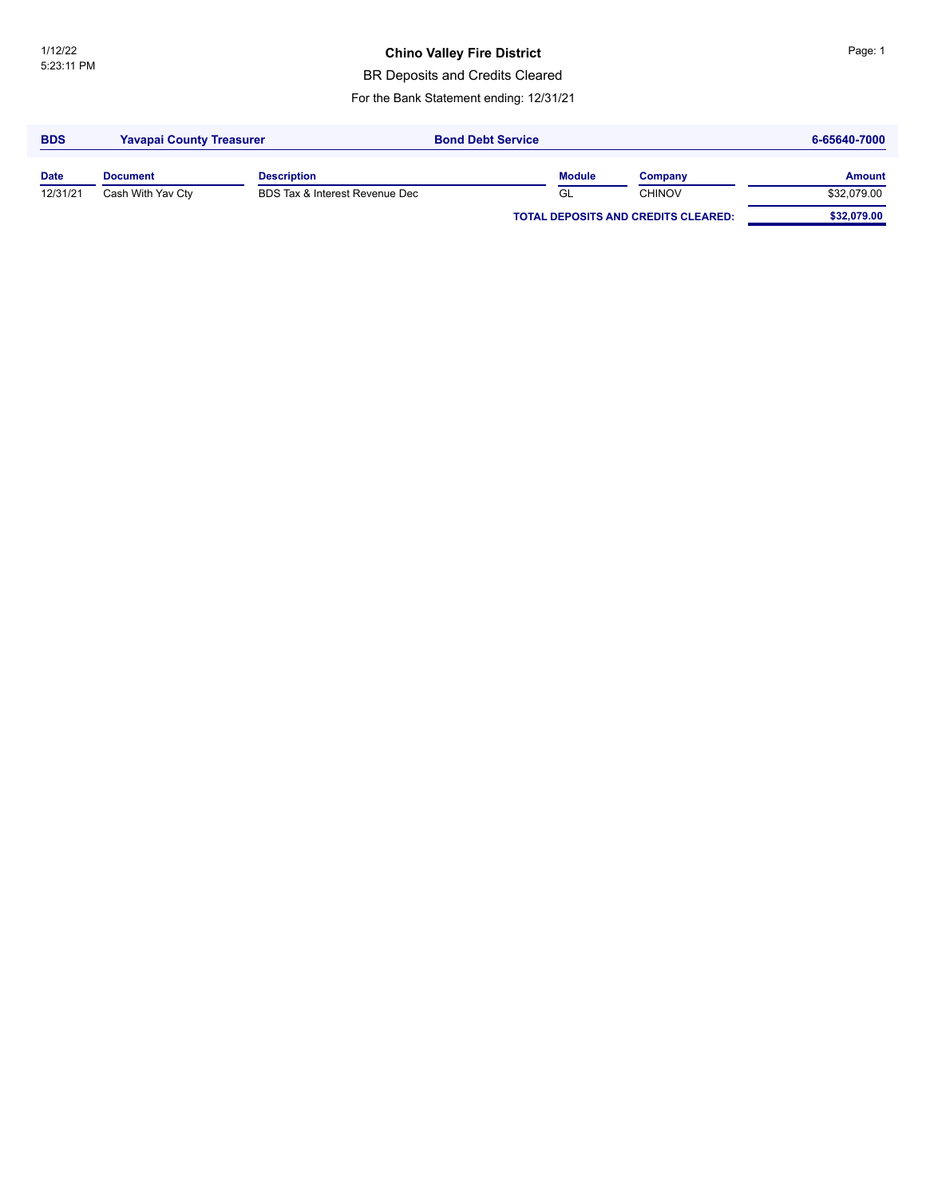### **Chino Valley Fire District China Burget China Page: 1**

BR Deposits and Credits Cleared

For the Bank Statement ending: 12/31/21

| <b>BDS</b>  | <b>Yavapai County Treasurer</b> |                                | <b>Bond Debt Service</b> |               |                                            | 6-65640-7000  |  |
|-------------|---------------------------------|--------------------------------|--------------------------|---------------|--------------------------------------------|---------------|--|
| <b>Date</b> | <b>Document</b>                 | <b>Description</b>             |                          | <b>Module</b> | Company                                    | <b>Amount</b> |  |
| 12/31/21    | Cash With Yav Cty               | BDS Tax & Interest Revenue Dec |                          | GL            | <b>CHINOV</b>                              | \$32,079.00   |  |
|             |                                 |                                |                          |               | <b>TOTAL DEPOSITS AND CREDITS CLEARED:</b> | \$32,079.00   |  |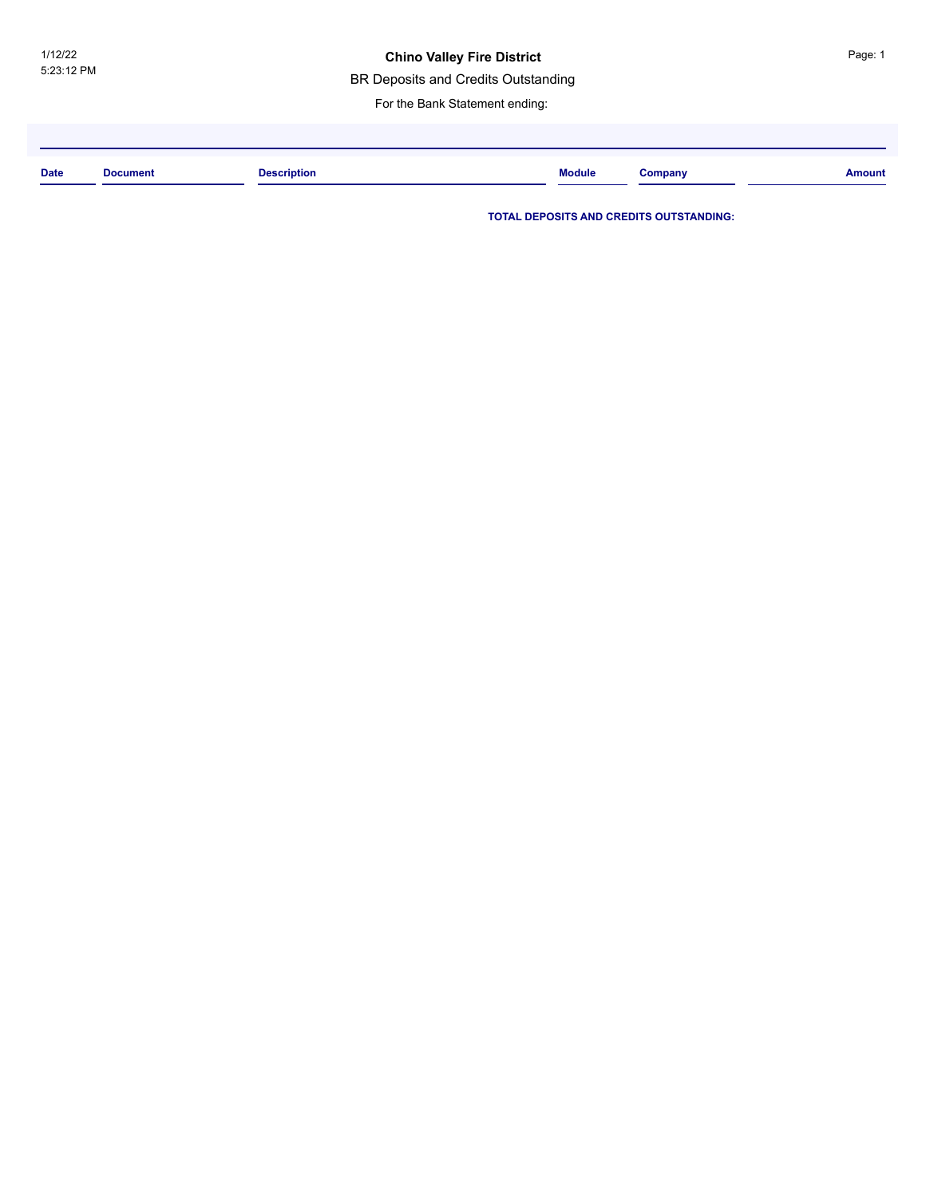#### **Chino Valley Fire District**

BR Deposits and Credits Outstanding

For the Bank Statement ending:

| <b>Date</b> | <b>Document</b><br>. | <b>Description</b> | <b>Module</b> | $\mathcal{L}$ ompany | <b>Amount</b> |
|-------------|----------------------|--------------------|---------------|----------------------|---------------|
|             |                      |                    |               |                      |               |

**TOTAL DEPOSITS AND CREDITS OUTSTANDING:**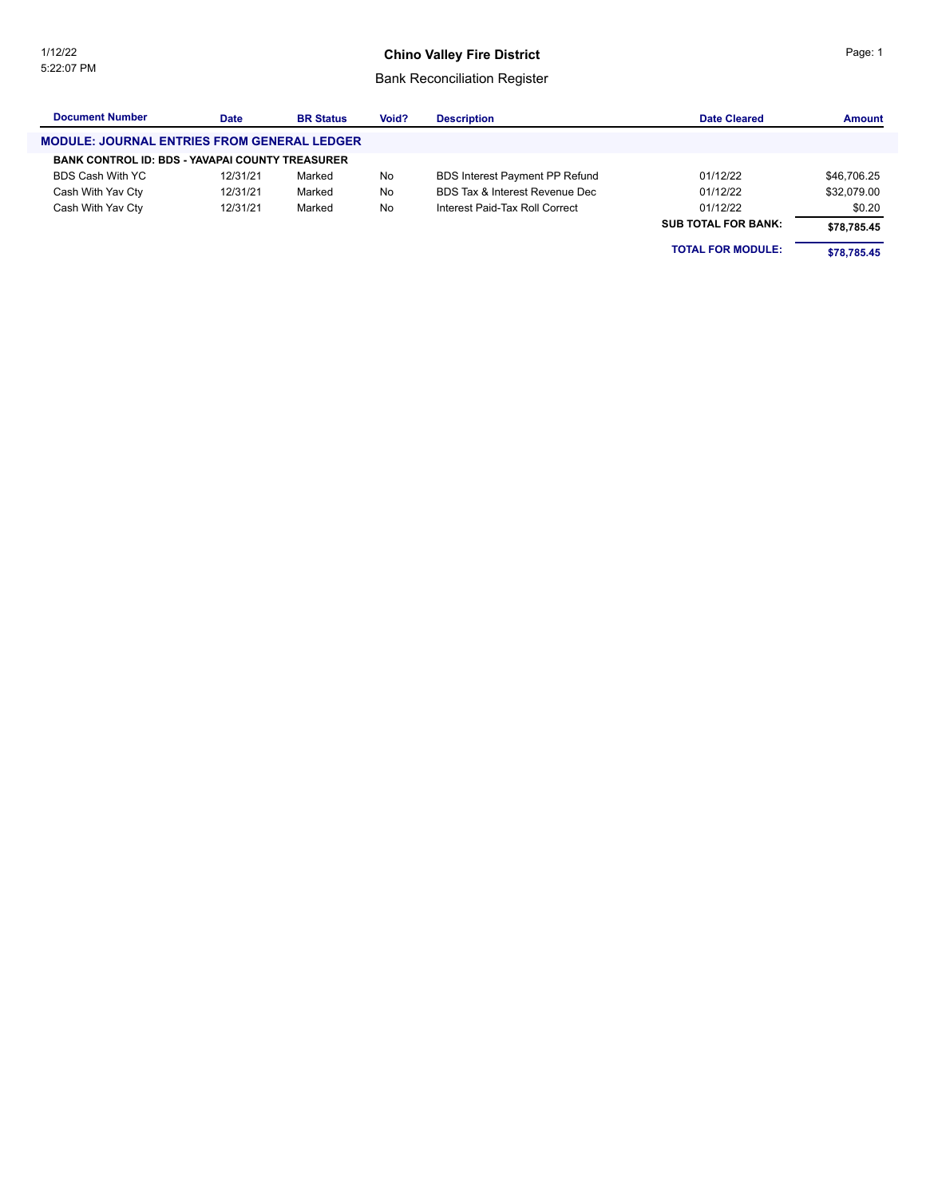#### **Chino Valley Fire District**

### Bank Reconciliation Register

| <b>Document Number</b>                                 | <b>Date</b> | <b>BR Status</b> | Void? | <b>Description</b>             | <b>Date Cleared</b>        | <b>Amount</b> |
|--------------------------------------------------------|-------------|------------------|-------|--------------------------------|----------------------------|---------------|
| <b>MODULE: JOURNAL ENTRIES FROM GENERAL LEDGER</b>     |             |                  |       |                                |                            |               |
| <b>BANK CONTROL ID: BDS - YAVAPAI COUNTY TREASURER</b> |             |                  |       |                                |                            |               |
| BDS Cash With YC                                       | 12/31/21    | Marked           | No    | BDS Interest Payment PP Refund | 01/12/22                   | \$46,706.25   |
| Cash With Yav Cty                                      | 12/31/21    | Marked           | No    | BDS Tax & Interest Revenue Dec | 01/12/22                   | \$32.079.00   |
| Cash With Yav Cty                                      | 12/31/21    | Marked           | No    | Interest Paid-Tax Roll Correct | 01/12/22                   | \$0.20        |
|                                                        |             |                  |       |                                | <b>SUB TOTAL FOR BANK:</b> | \$78,785.45   |
|                                                        |             |                  |       |                                | <b>TOTAL FOR MODULE:</b>   | \$78.785.45   |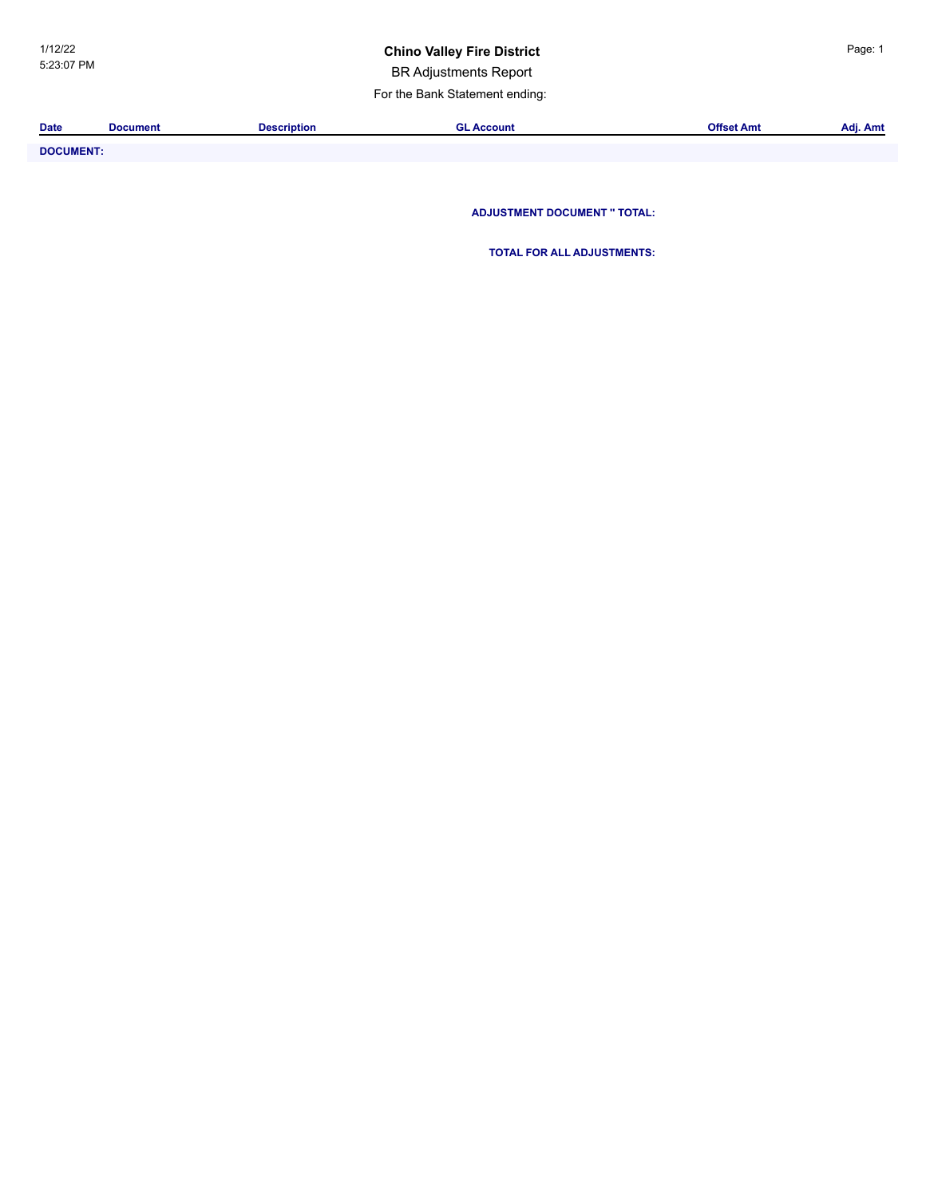### **Chino Valley Fire District China Page: 1**

BR Adjustments Report

For the Bank Statement ending:

| <b>Date</b>           | Document | Description | L Account | . .<br>Offset Amt | $\sim$<br>Adj. Amt |
|-----------------------|----------|-------------|-----------|-------------------|--------------------|
|                       |          |             |           |                   |                    |
| _ _ _ _ _ _ _ _ _ _ _ |          |             |           |                   |                    |

**DOCUMENT: ADJUSTMENT DOCUMENT '' TOTAL:**

**TOTAL FOR ALL ADJUSTMENTS:**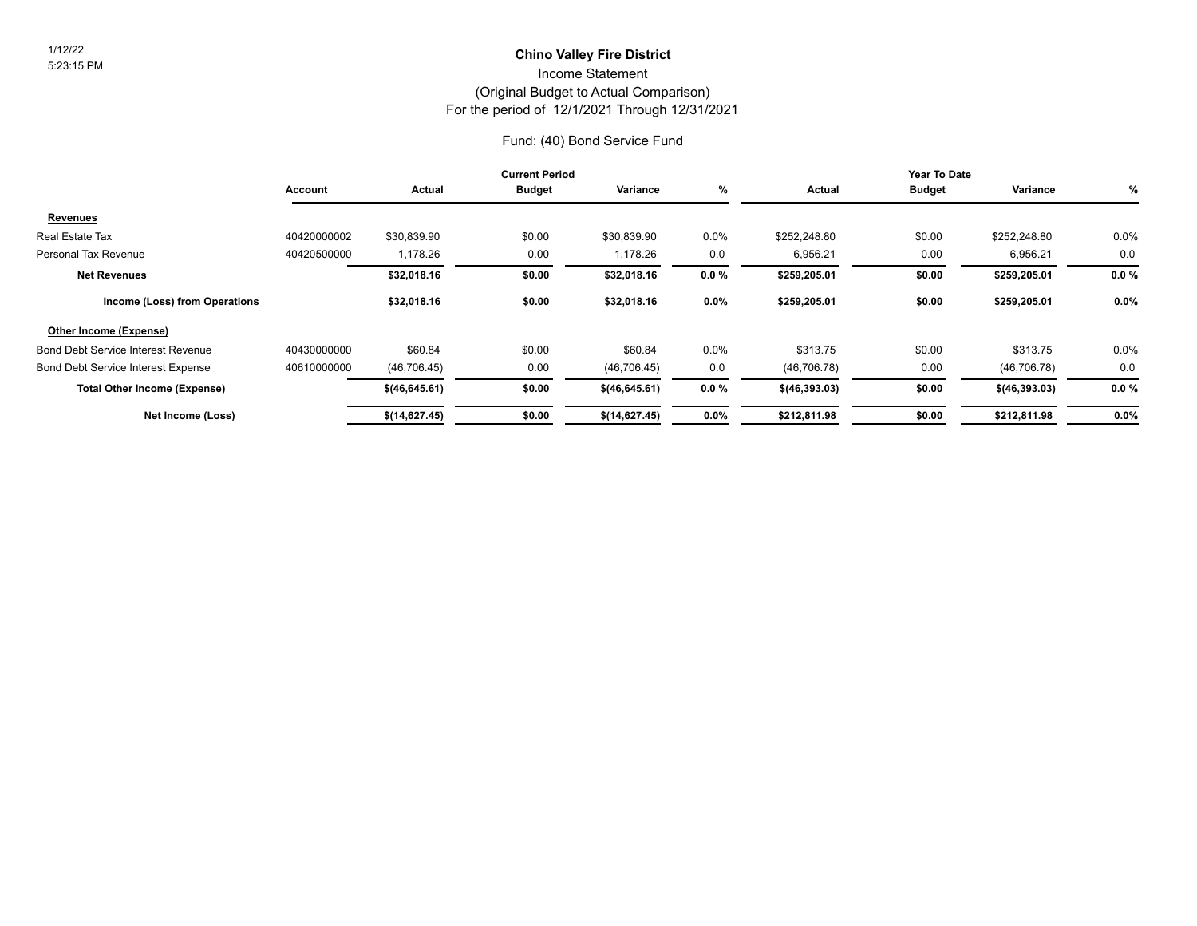# **Chino Valley Fire District** 1/12/22

Income Statement

#### (Original Budget to Actual Comparison)

For the period of 12/1/2021 Through 12/31/2021

#### Fund: (40) Bond Service Fund

|                                           | <b>Current Period</b> |                |               |               | Year To Date |                 |               |                 |          |
|-------------------------------------------|-----------------------|----------------|---------------|---------------|--------------|-----------------|---------------|-----------------|----------|
|                                           | Account               | Actual         | <b>Budget</b> | Variance      | %            | Actual          | <b>Budget</b> | Variance        | %        |
| Re <u>venues</u>                          |                       |                |               |               |              |                 |               |                 |          |
| Real Estate Tax                           | 40420000002           | \$30,839.90    | \$0.00        | \$30,839.90   | $0.0\%$      | \$252,248.80    | \$0.00        | \$252,248.80    | $0.0\%$  |
| Personal Tax Revenue                      | 40420500000           | 1,178.26       | 0.00          | 1,178.26      | 0.0          | 6,956.21        | 0.00          | 6,956.21        | 0.0      |
| <b>Net Revenues</b>                       |                       | \$32,018.16    | \$0.00        | \$32,018.16   | $0.0 \%$     | \$259,205.01    | \$0.00        | \$259,205.01    | $0.0 \%$ |
| Income (Loss) from Operations             |                       | \$32,018.16    | \$0.00        | \$32,018.16   | 0.0%         | \$259,205.01    | \$0.00        | \$259,205.01    | $0.0\%$  |
| Other Income (Expense)                    |                       |                |               |               |              |                 |               |                 |          |
| <b>Bond Debt Service Interest Revenue</b> | 40430000000           | \$60.84        | \$0.00        | \$60.84       | 0.0%         | \$313.75        | \$0.00        | \$313.75        | 0.0%     |
| <b>Bond Debt Service Interest Expense</b> | 40610000000           | (46, 706.45)   | 0.00          | (46, 706.45)  | 0.0          | (46, 706.78)    | 0.00          | (46, 706.78)    | 0.0      |
| <b>Total Other Income (Expense)</b>       |                       | \$(46, 645.61) | \$0.00        | \$(46,645.61) | $0.0 \%$     | $$$ (46,393.03) | \$0.00        | $$$ (46,393.03) | $0.0 \%$ |
| Net Income (Loss)                         |                       | \$(14,627.45)  | \$0.00        | \$(14,627.45) | $0.0\%$      | \$212,811.98    | \$0.00        | \$212,811.98    | $0.0\%$  |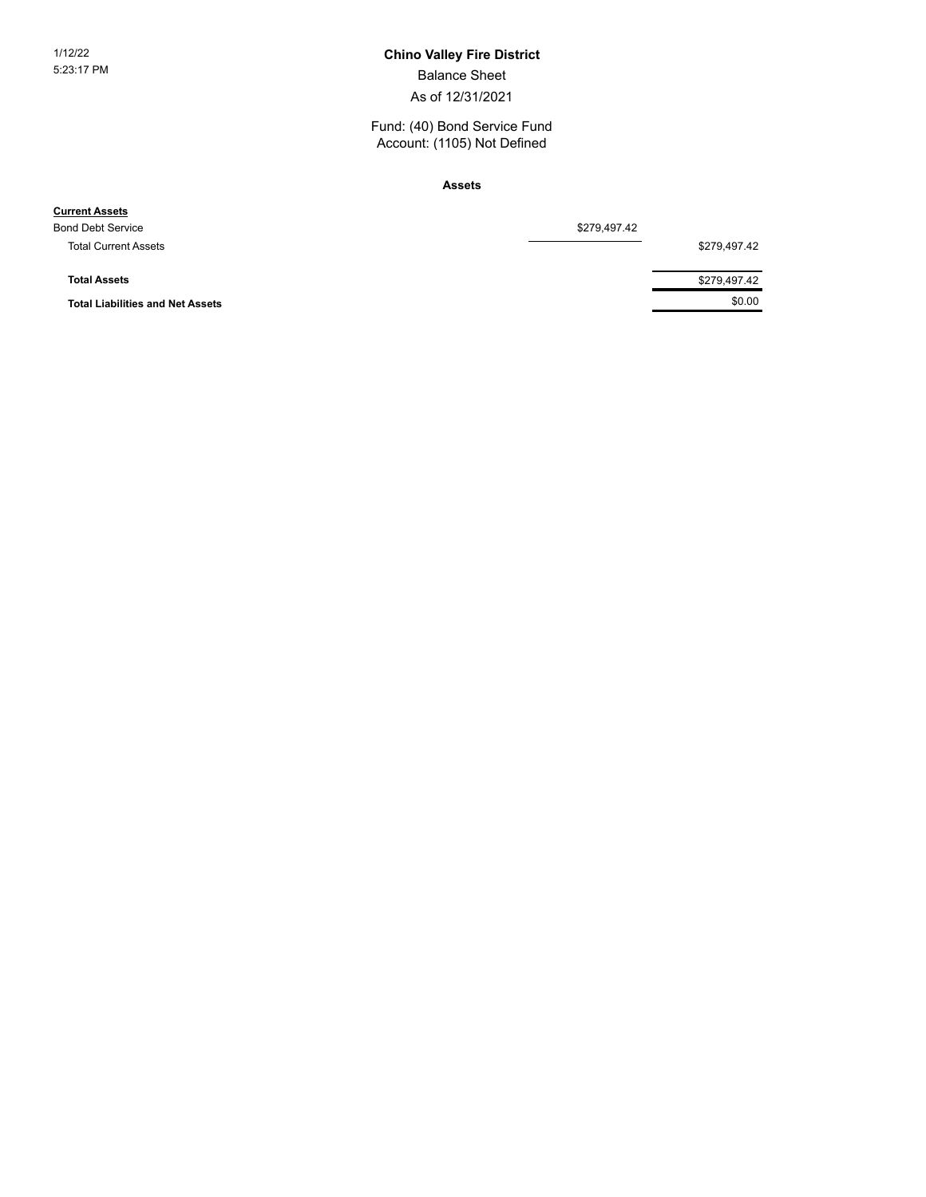#### 1/12/22 **Chino Valley Fire District**

Balance Sheet

As of 12/31/2021

Fund: (40) Bond Service Fund Account: (1105) Not Defined

**Assets**

| <b>Current Assets</b>                   |              |              |
|-----------------------------------------|--------------|--------------|
| <b>Bond Debt Service</b>                | \$279,497.42 |              |
| <b>Total Current Assets</b>             |              | \$279,497.42 |
| <b>Total Assets</b>                     |              | \$279,497.42 |
| <b>Total Liabilities and Net Assets</b> |              | \$0.00       |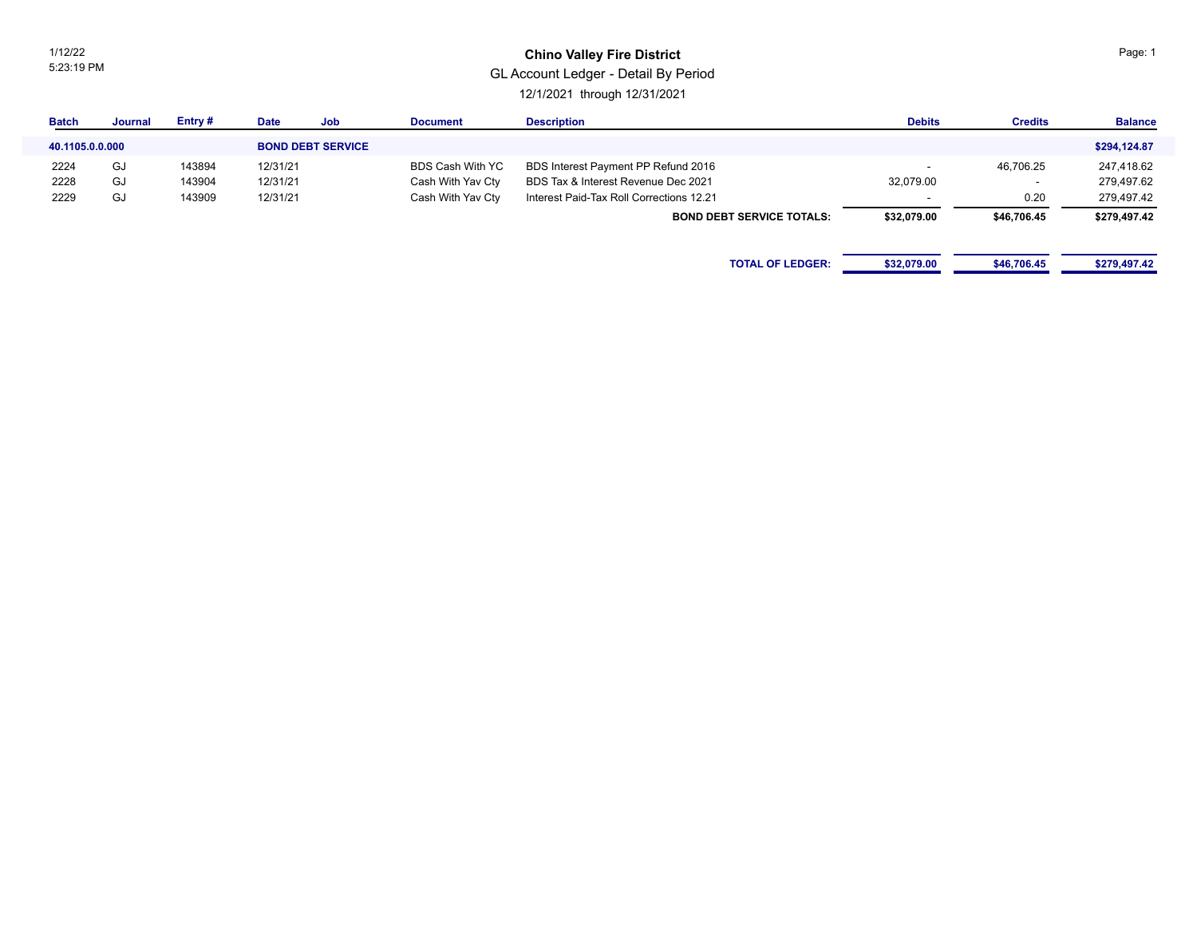1/12/22 5:23:19 PM

#### **Chino Valley Fire District**

### GL Account Ledger - Detail By Period

12/1/2021 through 12/31/2021

| <b>Batch</b>    | Journal | Entry# | <b>Date</b> | Job                      | <b>Document</b>         | <b>Description</b>                       | <b>Debits</b> | <b>Credits</b> | <b>Balance</b> |
|-----------------|---------|--------|-------------|--------------------------|-------------------------|------------------------------------------|---------------|----------------|----------------|
| 40.1105.0.0.000 |         |        |             | <b>BOND DEBT SERVICE</b> |                         |                                          |               |                | \$294,124.87   |
| 2224            | GJ      | 143894 | 12/31/21    |                          | <b>BDS Cash With YC</b> | BDS Interest Payment PP Refund 2016      |               | 46,706.25      | 247,418.62     |
| 2228            | GJ      | 143904 | 12/31/21    |                          | Cash With Yav Cty       | BDS Tax & Interest Revenue Dec 2021      | 32,079.00     |                | 279,497.62     |
| 2229            | GJ      | 143909 | 12/31/21    |                          | Cash With Yav Cty       | Interest Paid-Tax Roll Corrections 12.21 |               | 0.20           | 279,497.42     |
|                 |         |        |             |                          |                         | <b>BOND DEBT SERVICE TOTALS:</b>         | \$32,079.00   | \$46,706.45    | \$279,497.42   |
|                 |         |        |             |                          |                         |                                          |               |                |                |
|                 |         |        |             |                          |                         | <b>TOTAL OF LEDGER:</b>                  | \$32,079.00   | \$46,706.45    | \$279,497.42   |
|                 |         |        |             |                          |                         |                                          |               |                |                |

Page: 1